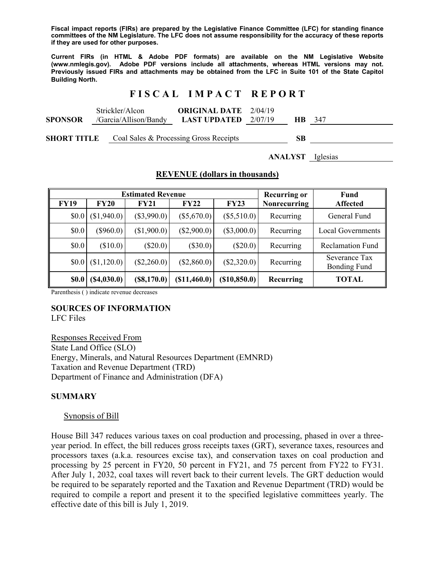**Fiscal impact reports (FIRs) are prepared by the Legislative Finance Committee (LFC) for standing finance committees of the NM Legislature. The LFC does not assume responsibility for the accuracy of these reports if they are used for other purposes.** 

**Current FIRs (in HTML & Adobe PDF formats) are available on the NM Legislative Website (www.nmlegis.gov). Adobe PDF versions include all attachments, whereas HTML versions may not. Previously issued FIRs and attachments may be obtained from the LFC in Suite 101 of the State Capitol Building North.**

## **F I S C A L I M P A C T R E P O R T**

|                | Strickler/Alcon       | <b>ORIGINAL DATE</b> 2/04/19  |  |               |
|----------------|-----------------------|-------------------------------|--|---------------|
| <b>SPONSOR</b> | /Garcia/Allison/Bandy | <b>LAST UPDATED</b> $2/07/19$ |  | <b>HB</b> 347 |
|                |                       |                               |  |               |

**SHORT TITLE** Coal Sales & Processing Gross Receipts **SB** 

**ANALYST** Iglesias

|  | <b>REVENUE</b> (dollars in thousands) |  |  |  |
|--|---------------------------------------|--|--|--|
|--|---------------------------------------|--|--|--|

|             |             | <b>Estimated Revenue</b> |               |               | <b>Recurring or</b> | Fund                                 |
|-------------|-------------|--------------------------|---------------|---------------|---------------------|--------------------------------------|
| <b>FY19</b> | <b>FY20</b> | <b>FY21</b>              | <b>FY22</b>   | <b>FY23</b>   | <b>Nonrecurring</b> | <b>Affected</b>                      |
| \$0.0       | (S1,940.0)  | $(\$3,990.0)$            | $(\$5,670.0)$ | $(\$5,510.0)$ | Recurring           | General Fund                         |
| \$0.0       | (S960.0)    | (\$1,900.0)              | $(\$2,900.0)$ | $(\$3,000.0)$ | Recurring           | <b>Local Governments</b>             |
| \$0.0       | (\$10.0)    | $(\$20.0)$               | $(\$30.0)$    | $(\$20.0)$    | Recurring           | <b>Reclamation Fund</b>              |
| \$0.0       | (S1,120.0)  | (\$2,260.0)              | $(\$2,860.0)$ | $(\$2,320.0)$ | Recurring           | Severance Tax<br><b>Bonding Fund</b> |
| \$0.0       | (S4,030.0)  | (\$8,170.0)              | (\$11,460.0)  | (\$10,850.0)  | Recurring           | TOTAL                                |

Parenthesis ( ) indicate revenue decreases

## **SOURCES OF INFORMATION**

LFC Files

Responses Received From State Land Office (SLO) Energy, Minerals, and Natural Resources Department (EMNRD) Taxation and Revenue Department (TRD) Department of Finance and Administration (DFA)

### **SUMMARY**

#### Synopsis of Bill

House Bill 347 reduces various taxes on coal production and processing, phased in over a threeyear period. In effect, the bill reduces gross receipts taxes (GRT), severance taxes, resources and processors taxes (a.k.a. resources excise tax), and conservation taxes on coal production and processing by 25 percent in FY20, 50 percent in FY21, and 75 percent from FY22 to FY31. After July 1, 2032, coal taxes will revert back to their current levels. The GRT deduction would be required to be separately reported and the Taxation and Revenue Department (TRD) would be required to compile a report and present it to the specified legislative committees yearly. The effective date of this bill is July 1, 2019.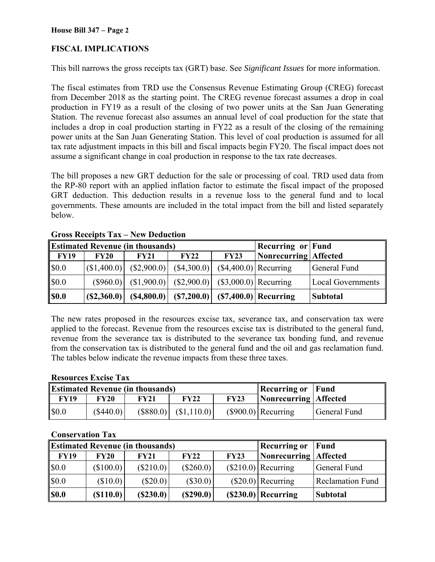# **FISCAL IMPLICATIONS**

This bill narrows the gross receipts tax (GRT) base. See *Significant Issues* for more information.

The fiscal estimates from TRD use the Consensus Revenue Estimating Group (CREG) forecast from December 2018 as the starting point. The CREG revenue forecast assumes a drop in coal production in FY19 as a result of the closing of two power units at the San Juan Generating Station. The revenue forecast also assumes an annual level of coal production for the state that includes a drop in coal production starting in FY22 as a result of the closing of the remaining power units at the San Juan Generating Station. This level of coal production is assumed for all tax rate adjustment impacts in this bill and fiscal impacts begin FY20. The fiscal impact does not assume a significant change in coal production in response to the tax rate decreases.

The bill proposes a new GRT deduction for the sale or processing of coal. TRD used data from the RP-80 report with an applied inflation factor to estimate the fiscal impact of the proposed GRT deduction. This deduction results in a revenue loss to the general fund and to local governments. These amounts are included in the total impact from the bill and listed separately below.

|             | <b>Estimated Revenue (in thousands)</b> |                                                                        |                                                  |      |                       | <b>Recurring or Fund</b> |
|-------------|-----------------------------------------|------------------------------------------------------------------------|--------------------------------------------------|------|-----------------------|--------------------------|
| <b>FY19</b> | <b>FY20</b>                             | <b>FY21</b>                                                            | FY22                                             | FY23 | Nonrecurring Affected |                          |
| \$0.0       |                                         | $ (\$1,400.0) $ $(\$2,900.0) $ $(\$4,300.0) $ $(\$4,400.0) $ Recurring |                                                  |      |                       | General Fund             |
| \$0.0       |                                         | $(S960.0)$ $(S1,900.0)$ $(S2,900.0)$ $(S3,000.0)$ Recurring            |                                                  |      |                       | <b>Local Governments</b> |
| <b>S0.0</b> | (S2,360.0)                              |                                                                        | $(S4,800.0)$ $(S7,200.0)$ $(S7,400.0)$ Recurring |      |                       | <b>Subtotal</b>          |

**Gross Receipts Tax – New Deduction** 

The new rates proposed in the resources excise tax, severance tax, and conservation tax were applied to the forecast. Revenue from the resources excise tax is distributed to the general fund, revenue from the severance tax is distributed to the severance tax bonding fund, and revenue from the conservation tax is distributed to the general fund and the oil and gas reclamation fund. The tables below indicate the revenue impacts from these three taxes.

### **Resources Excise Tax**

|             |           | <b>Estimated Revenue (in thousands)</b> |                         |             | <b>Recurring or Fund</b> |              |
|-------------|-----------|-----------------------------------------|-------------------------|-------------|--------------------------|--------------|
| <b>FY19</b> | FY20      | <b>FY21</b>                             | <b>FY22</b>             | <b>FY23</b> | Nonrecurring Affected    |              |
| \$0.0       | (\$440.0) |                                         | $(S880.0)$ $(S1,110.0)$ |             | $(S900.0)$ Recurring     | General Fund |

### **Conservation Tax**

|             |             | <b>Estimated Revenue (in thousands)</b> |             |      | <b>Recurring or</b>     | Fund                    |
|-------------|-------------|-----------------------------------------|-------------|------|-------------------------|-------------------------|
| <b>FY19</b> | <b>FY20</b> | <b>FY21</b>                             | FY22        | FY23 | Nonrecurring   Affected |                         |
| \$0.0       | (\$100.0)   | $(\$210.0)$                             | $(\$260.0)$ |      | $(S210.0)$ Recurring    | General Fund            |
| \$0.0       | (\$10.0)    | $(\$20.0)$                              | (S30.0)     |      | $(S20.0)$ Recurring     | <b>Reclamation Fund</b> |
| <b>SO.O</b> | (S110.0)    | (S230.0)                                | (S290.0)    |      | $(S230.0)$ Recurring    | <b>Subtotal</b>         |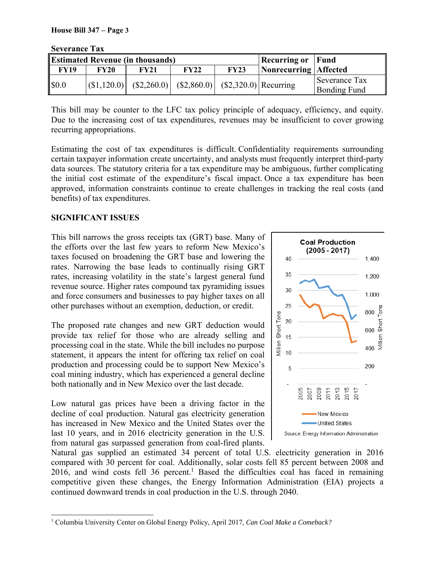| DUVULAIIUU TAA |             |                                                                        |             |             |                          |                                      |
|----------------|-------------|------------------------------------------------------------------------|-------------|-------------|--------------------------|--------------------------------------|
|                |             | <b>Estimated Revenue (in thousands)</b>                                |             |             | <b>Recurring or Fund</b> |                                      |
| <b>FY19</b>    | <b>FY20</b> | <b>FY21</b>                                                            | <b>FY22</b> | <b>FY23</b> | Nonrecurring Affected    |                                      |
| \$0.0          |             | $ (\$1,120.0) $ $(\$2,260.0) $ $(\$2,860.0) $ $(\$2,320.0) $ Recurring |             |             |                          | Severance Tax<br><b>Bonding Fund</b> |

**Severance Tax** 

This bill may be counter to the LFC tax policy principle of adequacy, efficiency, and equity. Due to the increasing cost of tax expenditures, revenues may be insufficient to cover growing recurring appropriations.

Estimating the cost of tax expenditures is difficult. Confidentiality requirements surrounding certain taxpayer information create uncertainty, and analysts must frequently interpret third-party data sources. The statutory criteria for a tax expenditure may be ambiguous, further complicating the initial cost estimate of the expenditure's fiscal impact. Once a tax expenditure has been approved, information constraints continue to create challenges in tracking the real costs (and benefits) of tax expenditures.

# **SIGNIFICANT ISSUES**

This bill narrows the gross receipts tax (GRT) base. Many of the efforts over the last few years to reform New Mexico's taxes focused on broadening the GRT base and lowering the rates. Narrowing the base leads to continually rising GRT rates, increasing volatility in the state's largest general fund revenue source. Higher rates compound tax pyramiding issues and force consumers and businesses to pay higher taxes on all other purchases without an exemption, deduction, or credit.

The proposed rate changes and new GRT deduction would provide tax relief for those who are already selling and processing coal in the state. While the bill includes no purpose statement, it appears the intent for offering tax relief on coal production and processing could be to support New Mexico's coal mining industry, which has experienced a general decline both nationally and in New Mexico over the last decade.

Low natural gas prices have been a driving factor in the decline of coal production. Natural gas electricity generation has increased in New Mexico and the United States over the last 10 years, and in 2016 electricity generation in the U.S. from natural gas surpassed generation from coal-fired plants.



Natural gas supplied an estimated 34 percent of total U.S. electricity generation in 2016 compared with 30 percent for coal. Additionally, solar costs fell 85 percent between 2008 and  $2016$ , and wind costs fell 36 percent.<sup>1</sup> Based the difficulties coal has faced in remaining competitive given these changes, the Energy Information Administration (EIA) projects a continued downward trends in coal production in the U.S. through 2040.

l 1 Columbia University Center on Global Energy Policy, April 2017, *Can Coal Make a Comeback?*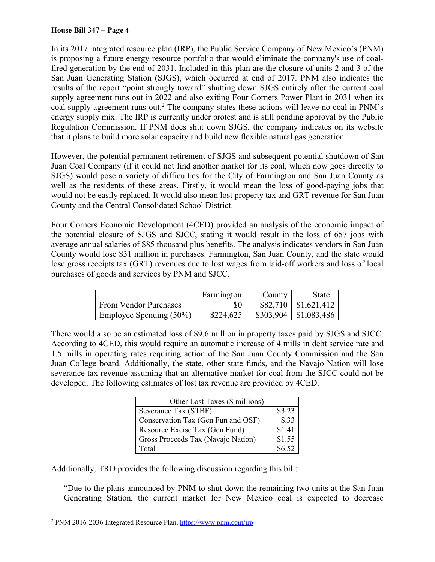#### **House Bill 347 – Page 4**

In its 2017 integrated resource plan (IRP), the Public Service Company of New Mexico's (PNM) is proposing a future energy resource portfolio that would eliminate the company's use of coalfired generation by the end of 2031. Included in this plan are the closure of units 2 and 3 of the San Juan Generating Station (SJGS), which occurred at end of 2017. PNM also indicates the results of the report "point strongly toward" shutting down SJGS entirely after the current coal supply agreement runs out in 2022 and also exiting Four Corners Power Plant in 2031 when its coal supply agreement runs out.<sup>2</sup> The company states these actions will leave no coal in PNM's energy supply mix. The IRP is currently under protest and is still pending approval by the Public Regulation Commission. If PNM does shut down SJGS, the company indicates on its website that it plans to build more solar capacity and build new flexible natural gas generation.

However, the potential permanent retirement of SJGS and subsequent potential shutdown of San Juan Coal Company (if it could not find another market for its coal, which now goes directly to SJGS) would pose a variety of difficulties for the City of Farmington and San Juan County as well as the residents of these areas. Firstly, it would mean the loss of good-paying jobs that would not be easily replaced. It would also mean lost property tax and GRT revenue for San Juan County and the Central Consolidated School District.

Four Corners Economic Development (4CED) provided an analysis of the economic impact of the potential closure of SJGS and SJCC, stating it would result in the loss of 657 jobs with average annual salaries of \$85 thousand plus benefits. The analysis indicates vendors in San Juan County would lose \$31 million in purchases. Farmington, San Juan County, and the state would lose gross receipts tax (GRT) revenues due to lost wages from laid-off workers and loss of local purchases of goods and services by PNM and SJCC.

|                         | Farmington | County    | State       |
|-------------------------|------------|-----------|-------------|
| From Vendor Purchases   | \$0        | \$82,710  | \$1,621,412 |
| Employee Spending (50%) | \$224,625  | \$303,904 | \$1,083,486 |

There would also be an estimated loss of \$9.6 million in property taxes paid by SJGS and SJCC. According to 4CED, this would require an automatic increase of 4 mills in debt service rate and 1.5 mills in operating rates requiring action of the San Juan County Commission and the San Juan College board. Additionally, the state, other state funds, and the Navajo Nation will lose severance tax revenue assuming that an alternative market for coal from the SJCC could not be developed. The following estimates of lost tax revenue are provided by 4CED.

| Other Lost Taxes (\$ millions)     |        |
|------------------------------------|--------|
| Severance Tax (STBF)               | \$3.23 |
| Conservation Tax (Gen Fun and OSF) | \$.33  |
| Resource Excise Tax (Gen Fund)     | \$1.41 |
| Gross Proceeds Tax (Navajo Nation) | \$1.55 |
| Total                              | \$6.52 |

Additionally, TRD provides the following discussion regarding this bill:

"Due to the plans announced by PNM to shut-down the remaining two units at the San Juan Generating Station, the current market for New Mexico coal is expected to decrease

l

<sup>&</sup>lt;sup>2</sup> PNM 2016-2036 Integrated Resource Plan, https://www.pnm.com/irp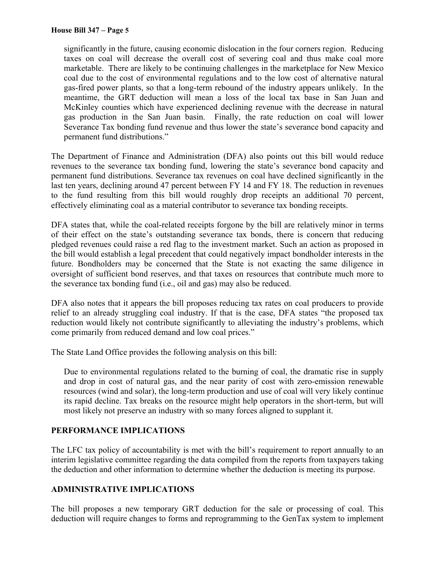significantly in the future, causing economic dislocation in the four corners region. Reducing taxes on coal will decrease the overall cost of severing coal and thus make coal more marketable. There are likely to be continuing challenges in the marketplace for New Mexico coal due to the cost of environmental regulations and to the low cost of alternative natural gas-fired power plants, so that a long-term rebound of the industry appears unlikely. In the meantime, the GRT deduction will mean a loss of the local tax base in San Juan and McKinley counties which have experienced declining revenue with the decrease in natural gas production in the San Juan basin. Finally, the rate reduction on coal will lower Severance Tax bonding fund revenue and thus lower the state's severance bond capacity and permanent fund distributions."

The Department of Finance and Administration (DFA) also points out this bill would reduce revenues to the severance tax bonding fund, lowering the state's severance bond capacity and permanent fund distributions. Severance tax revenues on coal have declined significantly in the last ten years, declining around 47 percent between FY 14 and FY 18. The reduction in revenues to the fund resulting from this bill would roughly drop receipts an additional 70 percent, effectively eliminating coal as a material contributor to severance tax bonding receipts.

DFA states that, while the coal-related receipts forgone by the bill are relatively minor in terms of their effect on the state's outstanding severance tax bonds, there is concern that reducing pledged revenues could raise a red flag to the investment market. Such an action as proposed in the bill would establish a legal precedent that could negatively impact bondholder interests in the future. Bondholders may be concerned that the State is not exacting the same diligence in oversight of sufficient bond reserves, and that taxes on resources that contribute much more to the severance tax bonding fund (i.e., oil and gas) may also be reduced.

DFA also notes that it appears the bill proposes reducing tax rates on coal producers to provide relief to an already struggling coal industry. If that is the case, DFA states "the proposed tax reduction would likely not contribute significantly to alleviating the industry's problems, which come primarily from reduced demand and low coal prices."

The State Land Office provides the following analysis on this bill:

Due to environmental regulations related to the burning of coal, the dramatic rise in supply and drop in cost of natural gas, and the near parity of cost with zero-emission renewable resources (wind and solar), the long-term production and use of coal will very likely continue its rapid decline. Tax breaks on the resource might help operators in the short-term, but will most likely not preserve an industry with so many forces aligned to supplant it.

## **PERFORMANCE IMPLICATIONS**

The LFC tax policy of accountability is met with the bill's requirement to report annually to an interim legislative committee regarding the data compiled from the reports from taxpayers taking the deduction and other information to determine whether the deduction is meeting its purpose.

## **ADMINISTRATIVE IMPLICATIONS**

The bill proposes a new temporary GRT deduction for the sale or processing of coal. This deduction will require changes to forms and reprogramming to the GenTax system to implement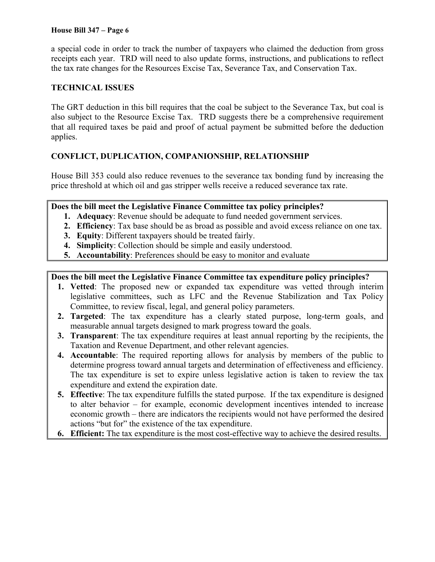#### **House Bill 347 – Page 6**

a special code in order to track the number of taxpayers who claimed the deduction from gross receipts each year. TRD will need to also update forms, instructions, and publications to reflect the tax rate changes for the Resources Excise Tax, Severance Tax, and Conservation Tax.

### **TECHNICAL ISSUES**

The GRT deduction in this bill requires that the coal be subject to the Severance Tax, but coal is also subject to the Resource Excise Tax. TRD suggests there be a comprehensive requirement that all required taxes be paid and proof of actual payment be submitted before the deduction applies.

## **CONFLICT, DUPLICATION, COMPANIONSHIP, RELATIONSHIP**

House Bill 353 could also reduce revenues to the severance tax bonding fund by increasing the price threshold at which oil and gas stripper wells receive a reduced severance tax rate.

### **Does the bill meet the Legislative Finance Committee tax policy principles?**

- **1. Adequacy**: Revenue should be adequate to fund needed government services.
- **2. Efficiency**: Tax base should be as broad as possible and avoid excess reliance on one tax.
- **3. Equity**: Different taxpayers should be treated fairly.
- **4. Simplicity**: Collection should be simple and easily understood.
- **5. Accountability**: Preferences should be easy to monitor and evaluate

### **Does the bill meet the Legislative Finance Committee tax expenditure policy principles?**

- **1. Vetted**: The proposed new or expanded tax expenditure was vetted through interim legislative committees, such as LFC and the Revenue Stabilization and Tax Policy Committee, to review fiscal, legal, and general policy parameters.
- **2. Targeted**: The tax expenditure has a clearly stated purpose, long-term goals, and measurable annual targets designed to mark progress toward the goals.
- **3. Transparent**: The tax expenditure requires at least annual reporting by the recipients, the Taxation and Revenue Department, and other relevant agencies.
- **4. Accountable**: The required reporting allows for analysis by members of the public to determine progress toward annual targets and determination of effectiveness and efficiency. The tax expenditure is set to expire unless legislative action is taken to review the tax expenditure and extend the expiration date.
- **5. Effective**: The tax expenditure fulfills the stated purpose. If the tax expenditure is designed to alter behavior – for example, economic development incentives intended to increase economic growth – there are indicators the recipients would not have performed the desired actions "but for" the existence of the tax expenditure.
- **6. Efficient:** The tax expenditure is the most cost-effective way to achieve the desired results.